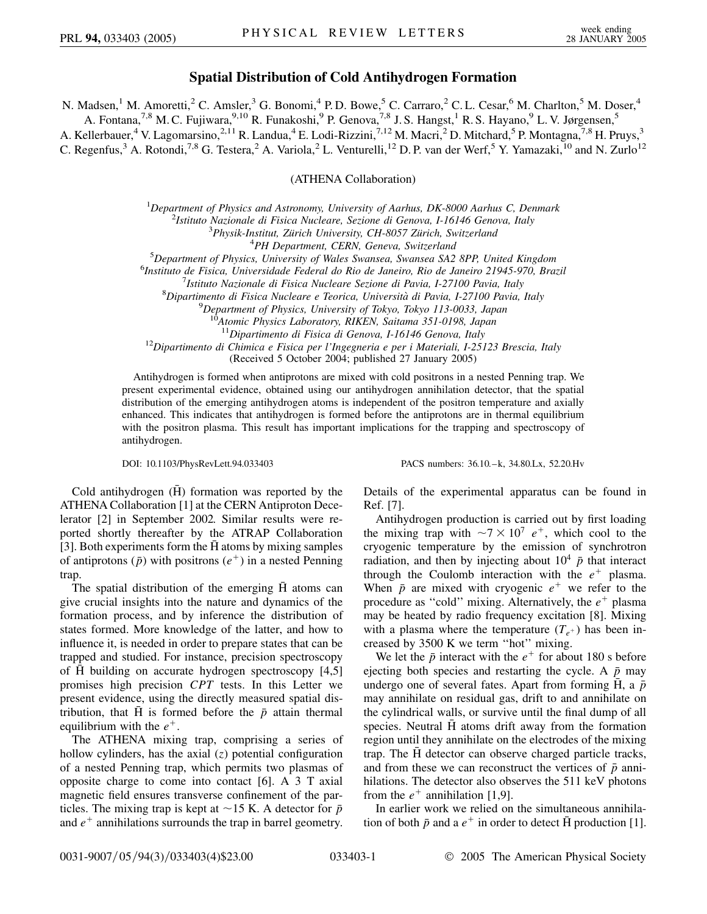## **Spatial Distribution of Cold Antihydrogen Formation**

N. Madsen,<sup>1</sup> M. Amoretti,<sup>2</sup> C. Amsler,<sup>3</sup> G. Bonomi,<sup>4</sup> P.D. Bowe,<sup>5</sup> C. Carraro,<sup>2</sup> C.L. Cesar,<sup>6</sup> M. Charlton,<sup>5</sup> M. Doser,<sup>4</sup> A. Fontana,<sup>7,8</sup> M. C. Fujiwara,<sup>9,10</sup> R. Funakoshi,<sup>9</sup> P. Genova,<sup>7,8</sup> J. S. Hangst,<sup>1</sup> R. S. Hayano,<sup>9</sup> L. V. Jørgensen,<sup>5</sup>

A. Kellerbauer,<sup>4</sup> V. Lagomarsino,<sup>2,11</sup> R. Landua,<sup>4</sup> E. Lodi-Rizzini,<sup>7,12</sup> M. Macri,<sup>2</sup> D. Mitchard,<sup>5</sup> P. Montagna,<sup>7,8</sup> H. Pruys,<sup>3</sup>

C. Regenfus,<sup>3</sup> A. Rotondi,<sup>7,8</sup> G. Testera,<sup>2</sup> A. Variola,<sup>2</sup> L. Venturelli,<sup>12</sup> D. P. van der Werf,<sup>5</sup> Y. Yamazaki,<sup>10</sup> and N. Zurlo<sup>12</sup>

## (ATHENA Collaboration)

<sup>1</sup>Department of Physics and Astronomy, University of Aarhus, DK-8000 Aarhus C, Denmark<sup>2</sup><br><sup>2</sup>Istitute Nazionale di Fisica Nucleare, Sezione di Genova, L16146 Genova, Italy

*Istituto Nazionale di Fisica Nucleare, Sezione di Genova, I-16146 Genova, Italy* <sup>3</sup>

<sup>3</sup>Physik-Institut, Zürich University, CH-8057 Zürich, Switzerland <sup>4</sup>PH Department, CERN, Geneva, Switzerland

<sup>4</sup> PH Department, CERN, Geneva, Switzerland<br><sup>5</sup> Department of Physics, University of Wales Swapses, Syapses, SA2

<sup>2</sup> Department of Physics, University of Wales Swansea, Swansea SA2 8PP, United Kingdom<br><sup>6</sup>Institute de Fisica, Universidade Federal de Pie de Janeire, Pie de Janeire 21045 970, Bra

*Instituto de Fisica, Universidade Federal do Rio de Janeiro, Rio de Janeiro 21945-970, Brazil* <sup>7</sup>

*Istituto Nazionale di Fisica Nucleare Sezione di Pavia, I-27100 Pavia, Italy* <sup>8</sup>

*Dipartimento di Fisica Nucleare e Teorica, Universita` di Pavia, I-27100 Pavia, Italy* <sup>9</sup>

*Department of Physics, University of Tokyo, Tokyo 113-0033, Japan*

<sup>10</sup>*Atomic Physics Laboratory, RIKEN, Saitama 351-0198, Japan*

<sup>12</sup>Dipartimento di Chimica e Fisica per l'Ingegneria e per i Materiali, I-25123 Brescia, Italy

(Received 5 October 2004; published 27 January 2005)

Antihydrogen is formed when antiprotons are mixed with cold positrons in a nested Penning trap. We present experimental evidence, obtained using our antihydrogen annihilation detector, that the spatial distribution of the emerging antihydrogen atoms is independent of the positron temperature and axially enhanced. This indicates that antihydrogen is formed before the antiprotons are in thermal equilibrium with the positron plasma. This result has important implications for the trapping and spectroscopy of antihydrogen.

DOI: 10.1103/PhysRevLett.94.033403 PACS numbers: 36.10.–k, 34.80.Lx, 52.20.Hv

Cold antihydrogen  $(\bar{H})$  formation was reported by the ATHENA Collaboration [1] at the CERN Antiproton Decelerator [2] in September 2002. Similar results were reported shortly thereafter by the ATRAP Collaboration [3]. Both experiments form the  $\bar{H}$  atoms by mixing samples of antiprotons  $(\bar{p})$  with positrons  $(e^+)$  in a nested Penning trap.

The spatial distribution of the emerging  $\overline{H}$  atoms can give crucial insights into the nature and dynamics of the formation process, and by inference the distribution of states formed. More knowledge of the latter, and how to influence it, is needed in order to prepare states that can be trapped and studied. For instance, precision spectroscopy of H building on accurate hydrogen spectroscopy [4,5] promises high precision *CPT* tests. In this Letter we present evidence, using the directly measured spatial distribution, that  $\overline{H}$  is formed before the  $\overline{p}$  attain thermal equilibrium with the  $e^+$ .

The ATHENA mixing trap, comprising a series of hollow cylinders, has the axial (*z*) potential configuration of a nested Penning trap, which permits two plasmas of opposite charge to come into contact [6]. A 3 T axial magnetic field ensures transverse confinement of the particles. The mixing trap is kept at  $\sim$ 15 K. A detector for  $\bar{p}$ and  $e^+$  annihilations surrounds the trap in barrel geometry. Details of the experimental apparatus can be found in Ref. [7].

Antihydrogen production is carried out by first loading the mixing trap with  $\sim 7 \times 10^7$  e<sup>+</sup>, which cool to the cryogenic temperature by the emission of synchrotron radiation, and then by injecting about  $10^4$   $\bar{p}$  that interact through the Coulomb interaction with the  $e^+$  plasma. When  $\bar{p}$  are mixed with cryogenic  $e^+$  we refer to the procedure as "cold" mixing. Alternatively, the  $e^+$  plasma may be heated by radio frequency excitation [8]. Mixing with a plasma where the temperature  $(T<sub>e</sub>+)$  has been increased by 3500 K we term ''hot'' mixing.

We let the  $\bar{p}$  interact with the  $e^+$  for about 180 s before ejecting both species and restarting the cycle. A  $\bar{p}$  may undergo one of several fates. Apart from forming  $\overline{H}$ , a  $\overline{p}$ may annihilate on residual gas, drift to and annihilate on the cylindrical walls, or survive until the final dump of all species. Neutral  $\overline{H}$  atoms drift away from the formation region until they annihilate on the electrodes of the mixing trap. The H detector can observe charged particle tracks, and from these we can reconstruct the vertices of  $\bar{p}$  annihilations. The detector also observes the 511 keV photons from the  $e^+$  annihilation [1,9].

In earlier work we relied on the simultaneous annihilation of both  $\bar{p}$  and a  $e^+$  in order to detect  $\bar{H}$  production [1].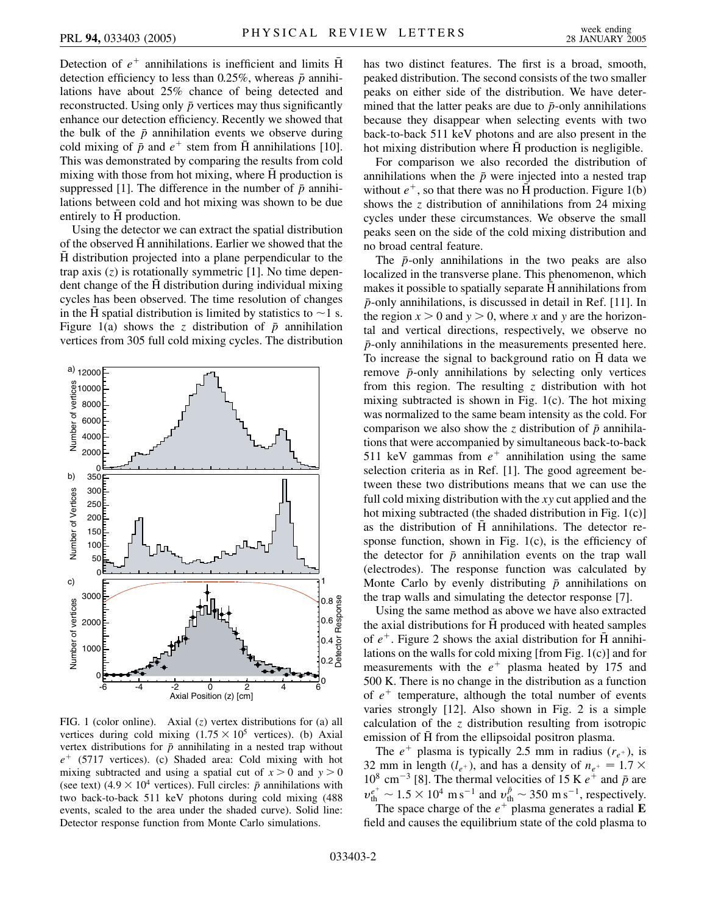Detection of  $e^+$  annihilations is inefficient and limits  $\bar{H}$ detection efficiency to less than  $0.25\%$ , whereas  $\bar{p}$  annihilations have about 25% chance of being detected and reconstructed. Using only  $\bar{p}$  vertices may thus significantly enhance our detection efficiency. Recently we showed that the bulk of the  $\bar{p}$  annihilation events we observe during cold mixing of  $\bar{p}$  and  $e^+$  stem from  $\bar{H}$  annihilations [10]. This was demonstrated by comparing the results from cold mixing with those from hot mixing, where  $\overline{H}$  production is suppressed [1]. The difference in the number of  $\bar{p}$  annihilations between cold and hot mixing was shown to be due entirely to  $\bar{H}$  production.

Using the detector we can extract the spatial distribution of the observed  $\overline{H}$  annihilations. Earlier we showed that the  $\bar{H}$  distribution projected into a plane perpendicular to the trap axis (*z*) is rotationally symmetric [1]. No time dependent change of the H distribution during individual mixing cycles has been observed. The time resolution of changes in the  $\bar{H}$  spatial distribution is limited by statistics to  $\sim$  1 s. Figure 1(a) shows the *z* distribution of  $\bar{p}$  annihilation vertices from 305 full cold mixing cycles. The distribution



FIG. 1 (color online). Axial (*z*) vertex distributions for (a) all vertices during cold mixing  $(1.75 \times 10^5$  vertices). (b) Axial vertex distributions for  $\bar{p}$  annihilating in a nested trap without  $e^+$  (5717 vertices). (c) Shaded area: Cold mixing with hot mixing subtracted and using a spatial cut of  $x > 0$  and  $y > 0$ (see text)  $(4.9 \times 10^4$  vertices). Full circles:  $\bar{p}$  annihilations with two back-to-back 511 keV photons during cold mixing (488 events, scaled to the area under the shaded curve). Solid line: Detector response function from Monte Carlo simulations.

has two distinct features. The first is a broad, smooth, peaked distribution. The second consists of the two smaller peaks on either side of the distribution. We have determined that the latter peaks are due to  $\bar{p}$ -only annihilations because they disappear when selecting events with two back-to-back 511 keV photons and are also present in the hot mixing distribution where H production is negligible.

For comparison we also recorded the distribution of annihilations when the  $\bar{p}$  were injected into a nested trap without  $e^+$ , so that there was no  $\overline{H}$  production. Figure 1(b) shows the *z* distribution of annihilations from 24 mixing cycles under these circumstances. We observe the small peaks seen on the side of the cold mixing distribution and no broad central feature.

The  $\bar{p}$ -only annihilations in the two peaks are also localized in the transverse plane. This phenomenon, which makes it possible to spatially separate H annihilations from *p*-only annihilations, is discussed in detail in Ref. [11]. In the region  $x > 0$  and  $y > 0$ , where x and y are the horizontal and vertical directions, respectively, we observe no *p*-only annihilations in the measurements presented here. To increase the signal to background ratio on H data we remove  $\bar{p}$ -only annihilations by selecting only vertices from this region. The resulting *z* distribution with hot mixing subtracted is shown in Fig. 1(c). The hot mixing was normalized to the same beam intensity as the cold. For comparison we also show the *z* distribution of  $\bar{p}$  annihilations that were accompanied by simultaneous back-to-back 511 keV gammas from  $e^+$  annihilation using the same selection criteria as in Ref. [1]. The good agreement between these two distributions means that we can use the full cold mixing distribution with the *xy* cut applied and the hot mixing subtracted (the shaded distribution in Fig. 1(c)] as the distribution of  $\overline{H}$  annihilations. The detector response function, shown in Fig. 1(c), is the efficiency of the detector for  $\bar{p}$  annihilation events on the trap wall (electrodes). The response function was calculated by Monte Carlo by evenly distributing  $\bar{p}$  annihilations on the trap walls and simulating the detector response [7].

Using the same method as above we have also extracted the axial distributions for H produced with heated samples of  $e^+$ . Figure 2 shows the axial distribution for H annihilations on the walls for cold mixing [from Fig. 1(c)] and for measurements with the  $e^+$  plasma heated by 175 and 500 K. There is no change in the distribution as a function of  $e^+$  temperature, although the total number of events varies strongly [12]. Also shown in Fig. 2 is a simple calculation of the *z* distribution resulting from isotropic emission of  $\overline{H}$  from the ellipsoidal positron plasma.

The  $e^+$  plasma is typically 2.5 mm in radius  $(r_{e^+})$ , is 32 mm in length ( $l_{e^+}$ ), and has a density of  $n_{e^+} = 1.7 \times$  $10^8$  cm<sup>-3</sup> [8]. The thermal velocities of 15 K  $e^+$  and  $\bar{p}$  are  $v_{\text{th}}^{e^+} \sim 1.5 \times 10^4 \text{ m s}^{-1}$  and  $v_{\text{th}}^{p} \sim 350 \text{ m s}^{-1}$ , respectively.

The space charge of the  $e^{+}$  plasma generates a radial **E** field and causes the equilibrium state of the cold plasma to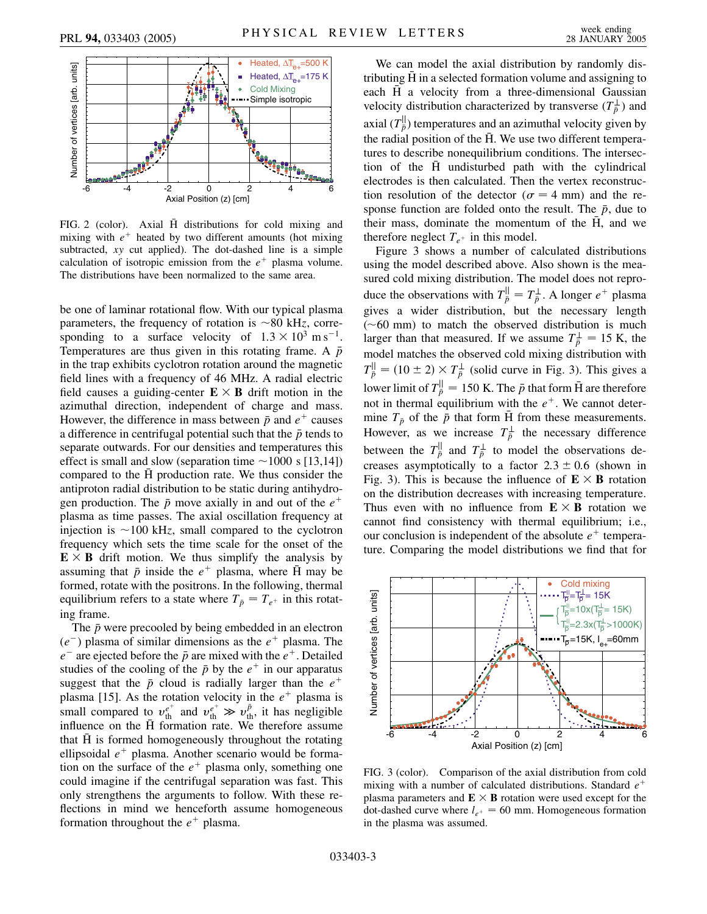

FIG. 2 (color). Axial H distributions for cold mixing and mixing with  $e^+$  heated by two different amounts (hot mixing subtracted, *xy* cut applied). The dot-dashed line is a simple calculation of isotropic emission from the  $e^+$  plasma volume. The distributions have been normalized to the same area.

be one of laminar rotational flow. With our typical plasma parameters, the frequency of rotation is  $\sim 80$  kHz, corresponding to a surface velocity of  $1.3 \times 10^3$  m s<sup>-1</sup>. Temperatures are thus given in this rotating frame. A *p* in the trap exhibits cyclotron rotation around the magnetic field lines with a frequency of 46 MHz. A radial electric field causes a guiding-center  $\mathbf{E} \times \mathbf{B}$  drift motion in the azimuthal direction, independent of charge and mass. However, the difference in mass between  $\bar{p}$  and  $e^+$  causes a difference in centrifugal potential such that the  $\bar{p}$  tends to separate outwards. For our densities and temperatures this effect is small and slow (separation time  $\sim$  1000 s [13,14]) compared to the H production rate. We thus consider the antiproton radial distribution to be static during antihydrogen production. The  $\bar{p}$  move axially in and out of the  $e^+$ plasma as time passes. The axial oscillation frequency at injection is  $\sim$ 100 kHz, small compared to the cyclotron frequency which sets the time scale for the onset of the  $E \times B$  drift motion. We thus simplify the analysis by assuming that  $\bar{p}$  inside the  $e^+$  plasma, where  $\bar{H}$  may be formed, rotate with the positrons. In the following, thermal equilibrium refers to a state where  $T_{\bar{p}} = T_{e^+}$  in this rotating frame.

The  $\bar{p}$  were precooled by being embedded in an electron  $(e^-)$  plasma of similar dimensions as the  $e^+$  plasma. The  $e^-$  are ejected before the  $\bar{p}$  are mixed with the  $e^+$ . Detailed studies of the cooling of the  $\bar{p}$  by the  $e^+$  in our apparatus suggest that the  $\bar{p}$  cloud is radially larger than the  $e^+$ plasma [15]. As the rotation velocity in the  $e^+$  plasma is small compared to  $v_{\text{th}}^{e^+}$  and  $v_{\text{th}}^{e^+} \gg v_{\text{th}}^{\bar{p}}$ , it has negligible influence on the H formation rate. We therefore assume that H is formed homogeneously throughout the rotating ellipsoidal  $e^+$  plasma. Another scenario would be formation on the surface of the  $e<sup>+</sup>$  plasma only, something one could imagine if the centrifugal separation was fast. This only strengthens the arguments to follow. With these reflections in mind we henceforth assume homogeneous formation throughout the  $e^+$  plasma.

We can model the axial distribution by randomly distributing  $\bar{H}$  in a selected formation volume and assigning to each  $\bar{H}$  a velocity from a three-dimensional Gaussian velocity distribution characterized by transverse  $(T^{\perp}_{\bar{p}})$  and axial  $(T^{\parallel}_{\bar{p}})$  temperatures and an azimuthal velocity given by the radial position of the  $\overline{H}$ . We use two different temperatures to describe nonequilibrium conditions. The intersection of the H undisturbed path with the cylindrical electrodes is then calculated. Then the vertex reconstruction resolution of the detector ( $\sigma = 4$  mm) and the response function are folded onto the result. The  $\bar{p}$ , due to their mass, dominate the momentum of the  $\bar{H}$ , and we therefore neglect  $T_{e^+}$  in this model.

Figure 3 shows a number of calculated distributions using the model described above. Also shown is the measured cold mixing distribution. The model does not reproduce the observations with  $T_{\bar{p}}^{\parallel} = T_{\bar{p}}^{\perp}$ . A longer  $e^{+}$  plasma gives a wider distribution, but the necessary length  $(\sim 60 \text{ mm})$  to match the observed distribution is much larger than that measured. If we assume  $T^{\perp}_{\bar{p}} = 15$  K, the model matches the observed cold mixing distribution with  $T_{\bar{p}}^{||} = (10 \pm 2) \times T_{\bar{p}}^{\perp}$  (solid curve in Fig. 3). This gives a lower limit of  $T^{\parallel}_{\bar{p}} = 150$  K. The  $\bar{p}$  that form  $\bar{H}$  are therefore not in thermal equilibrium with the  $e^+$ . We cannot determine  $T_{\bar{p}}$  of the  $\bar{p}$  that form  $\bar{H}$  from these measurements. However, as we increase  $T^{\perp}_{\bar{p}}$  the necessary difference between the  $T^{\parallel}_{\bar{p}}$  and  $T^{\perp}_{\bar{p}}$  to model the observations decreases asymptotically to a factor  $2.3 \pm 0.6$  (shown in Fig. 3). This is because the influence of  $\mathbf{E} \times \mathbf{B}$  rotation on the distribution decreases with increasing temperature. Thus even with no influence from  $E \times B$  rotation we cannot find consistency with thermal equilibrium; i.e., our conclusion is independent of the absolute  $e^+$  temperature. Comparing the model distributions we find that for



FIG. 3 (color). Comparison of the axial distribution from cold mixing with a number of calculated distributions. Standard *e* plasma parameters and  $\mathbf{E} \times \mathbf{B}$  rotation were used except for the dot-dashed curve where  $l_{e^+} = 60$  mm. Homogeneous formation in the plasma was assumed.